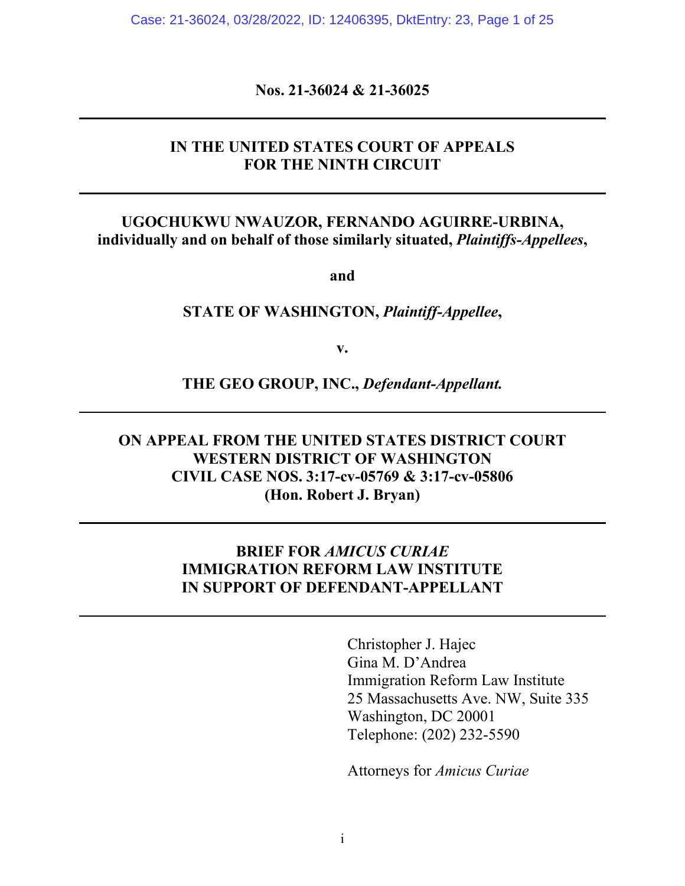Case: 21-36024, 03/28/2022, ID: 12406395, DktEntry: 23, Page 1 of 25

**Nos. 21-36024 & 21-36025**

### **IN THE UNITED STATES COURT OF APPEALS FOR THE NINTH CIRCUIT**

### **UGOCHUKWU NWAUZOR, FERNANDO AGUIRRE-URBINA, individually and on behalf of those similarly situated,** *Plaintiffs-Appellees***,**

**and**

#### **STATE OF WASHINGTON,** *Plaintiff-Appellee***,**

**v.**

**THE GEO GROUP, INC.,** *Defendant-Appellant.*

# **ON APPEAL FROM THE UNITED STATES DISTRICT COURT WESTERN DISTRICT OF WASHINGTON CIVIL CASE NOS. 3:17-cv-05769 & 3:17-cv-05806 (Hon. Robert J. Bryan)**

### **BRIEF FOR** *AMICUS CURIAE* **IMMIGRATION REFORM LAW INSTITUTE IN SUPPORT OF DEFENDANT-APPELLANT**

Christopher J. Hajec Gina M. D'Andrea Immigration Reform Law Institute 25 Massachusetts Ave. NW, Suite 335 Washington, DC 20001 Telephone: (202) 232-5590

Attorneys for *Amicus Curiae*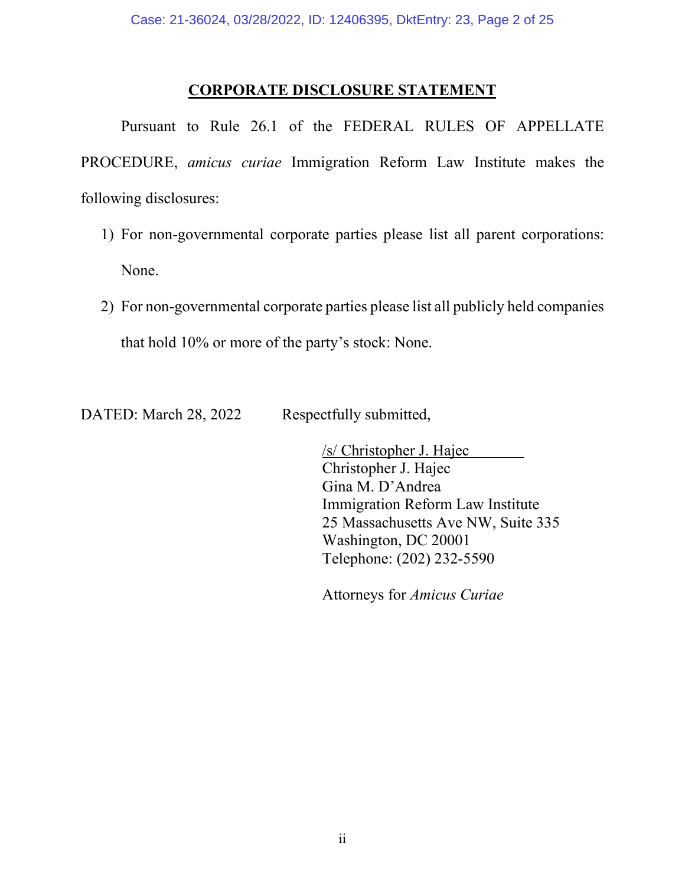# **CORPORATE DISCLOSURE STATEMENT**

Pursuant to Rule 26.1 of the FEDERAL RULES OF APPELLATE PROCEDURE, *amicus curiae* Immigration Reform Law Institute makes the following disclosures:

- 1) For non-governmental corporate parties please list all parent corporations: None.
- 2) For non-governmental corporate parties please list all publicly held companies that hold 10% or more of the party's stock: None.

DATED: March 28, 2022 Respectfully submitted,

/s/ Christopher J. Hajec Christopher J. Hajec Gina M. D'Andrea Immigration Reform Law Institute 25 Massachusetts Ave NW, Suite 335 Washington, DC 20001 Telephone: (202) 232-5590

Attorneys for *Amicus Curiae*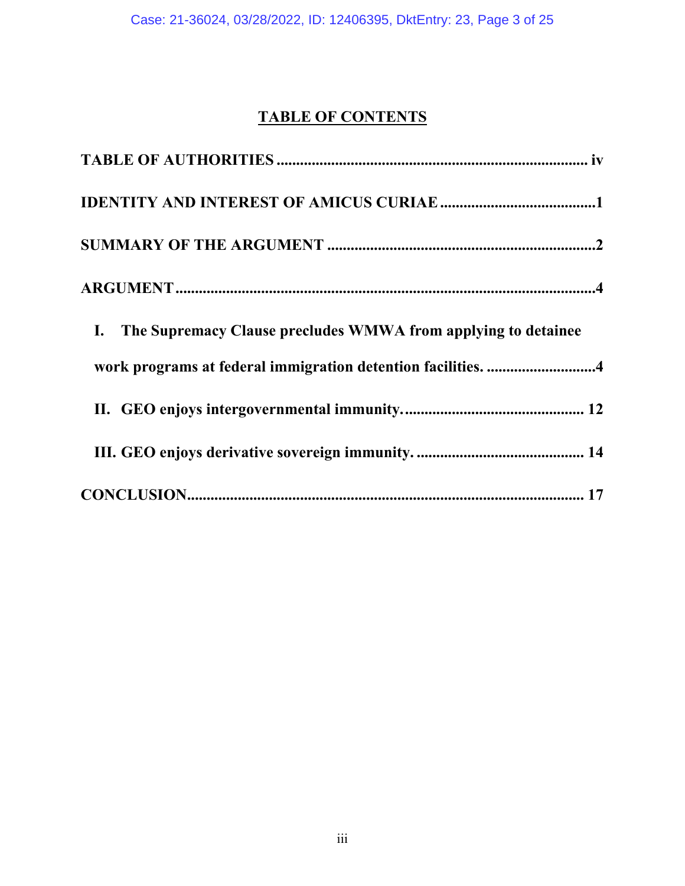# **TABLE OF CONTENTS**

| The Supremacy Clause precludes WMWA from applying to detainee<br>$\mathbf{I}$ . |  |
|---------------------------------------------------------------------------------|--|
| work programs at federal immigration detention facilities. 4                    |  |
|                                                                                 |  |
|                                                                                 |  |
|                                                                                 |  |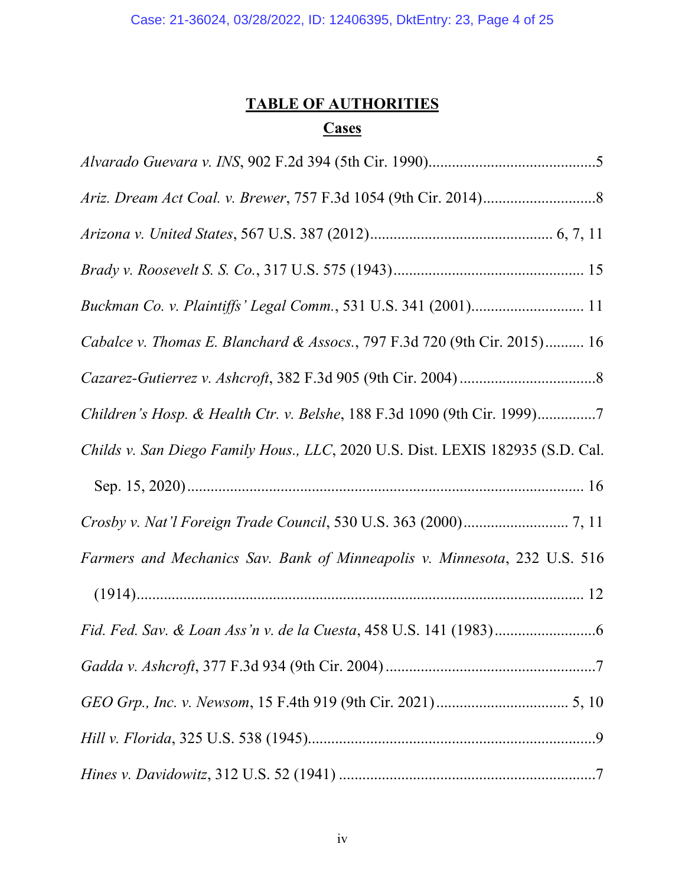# **TABLE OF AUTHORITIES**

# **Cases**

| Buckman Co. v. Plaintiffs' Legal Comm., 531 U.S. 341 (2001) 11                 |
|--------------------------------------------------------------------------------|
| Cabalce v. Thomas E. Blanchard & Assocs., 797 F.3d 720 (9th Cir. 2015) 16      |
|                                                                                |
| Children's Hosp. & Health Ctr. v. Belshe, 188 F.3d 1090 (9th Cir. 1999)7       |
| Childs v. San Diego Family Hous., LLC, 2020 U.S. Dist. LEXIS 182935 (S.D. Cal. |
|                                                                                |
|                                                                                |
|                                                                                |
| Farmers and Mechanics Sav. Bank of Minneapolis v. Minnesota, 232 U.S. 516      |
|                                                                                |
|                                                                                |
|                                                                                |
|                                                                                |
|                                                                                |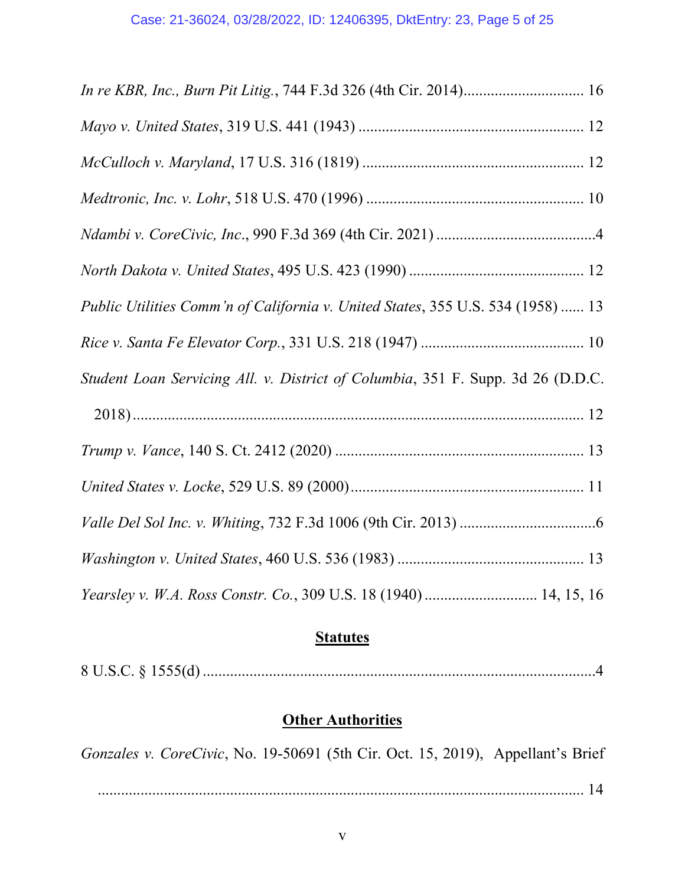| In re KBR, Inc., Burn Pit Litig., 744 F.3d 326 (4th Cir. 2014) 16               |
|---------------------------------------------------------------------------------|
|                                                                                 |
|                                                                                 |
|                                                                                 |
|                                                                                 |
|                                                                                 |
| Public Utilities Comm'n of California v. United States, 355 U.S. 534 (1958)  13 |
|                                                                                 |
| Student Loan Servicing All. v. District of Columbia, 351 F. Supp. 3d 26 (D.D.C. |
|                                                                                 |
|                                                                                 |
|                                                                                 |
|                                                                                 |
|                                                                                 |
| Yearsley v. W.A. Ross Constr. Co., 309 U.S. 18 (1940)  14, 15, 16               |

# **Statutes**

# **Other Authorities**

*Gonzales v. CoreCivic*, No. 19-50691 (5th Cir. Oct. 15, 2019), Appellant's Brief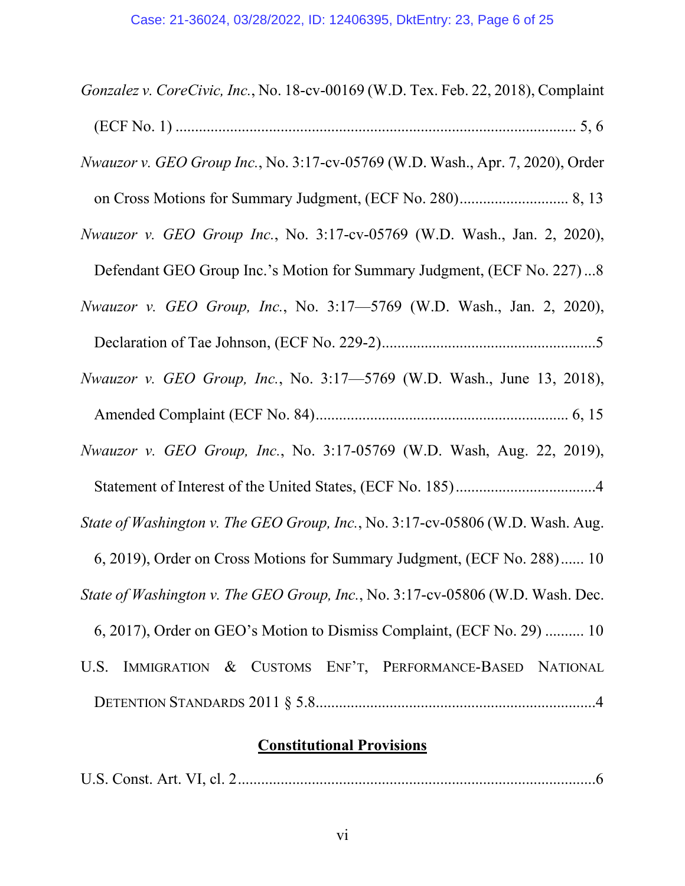| Gonzalez v. CoreCivic, Inc., No. 18-cv-00169 (W.D. Tex. Feb. 22, 2018), Complaint |
|-----------------------------------------------------------------------------------|
|                                                                                   |
| Nwauzor v. GEO Group Inc., No. 3:17-cv-05769 (W.D. Wash., Apr. 7, 2020), Order    |
|                                                                                   |
| Nwauzor v. GEO Group Inc., No. 3:17-cv-05769 (W.D. Wash., Jan. 2, 2020),          |
| Defendant GEO Group Inc.'s Motion for Summary Judgment, (ECF No. 227)8            |
| <i>Nwauzor v. GEO Group, Inc., No.</i> 3:17–5769 (W.D. Wash., Jan. 2, 2020),      |
|                                                                                   |
| <i>Nwauzor v. GEO Group, Inc., No.</i> 3:17–5769 (W.D. Wash., June 13, 2018),     |
|                                                                                   |
| Nwauzor v. GEO Group, Inc., No. 3:17-05769 (W.D. Wash, Aug. 22, 2019),            |
|                                                                                   |
| State of Washington v. The GEO Group, Inc., No. 3:17-cv-05806 (W.D. Wash. Aug.    |
| 6, 2019), Order on Cross Motions for Summary Judgment, (ECF No. 288) 10           |
| State of Washington v. The GEO Group, Inc., No. 3:17-cv-05806 (W.D. Wash. Dec.    |
| 6, 2017), Order on GEO's Motion to Dismiss Complaint, (ECF No. 29)  10            |
| IMMIGRATION & CUSTOMS ENF'T, PERFORMANCE-BASED NATIONAL<br>U.S.                   |
|                                                                                   |

# **Constitutional Provisions**

U.S. Const. Art. VI, cl. 2............................................................................................6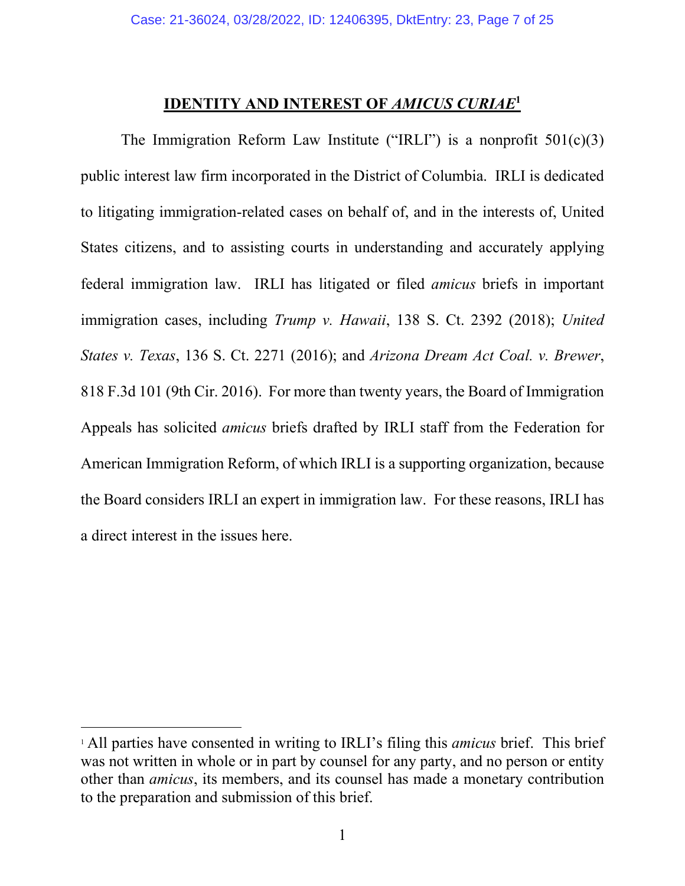# **IDENTITY AND INTEREST OF** *AMICUS CURIAE***<sup>1</sup>**

The Immigration Reform Law Institute ("IRLI") is a nonprofit  $501(c)(3)$ public interest law firm incorporated in the District of Columbia. IRLI is dedicated to litigating immigration-related cases on behalf of, and in the interests of, United States citizens, and to assisting courts in understanding and accurately applying federal immigration law. IRLI has litigated or filed *amicus* briefs in important immigration cases, including *Trump v. Hawaii*, 138 S. Ct. 2392 (2018); *United States v. Texas*, 136 S. Ct. 2271 (2016); and *Arizona Dream Act Coal. v. Brewer*, 818 F.3d 101 (9th Cir. 2016). For more than twenty years, the Board of Immigration Appeals has solicited *amicus* briefs drafted by IRLI staff from the Federation for American Immigration Reform, of which IRLI is a supporting organization, because the Board considers IRLI an expert in immigration law. For these reasons, IRLI has a direct interest in the issues here.

 $\overline{a}$ 

<sup>1</sup> All parties have consented in writing to IRLI's filing this *amicus* brief. This brief was not written in whole or in part by counsel for any party, and no person or entity other than *amicus*, its members, and its counsel has made a monetary contribution to the preparation and submission of this brief.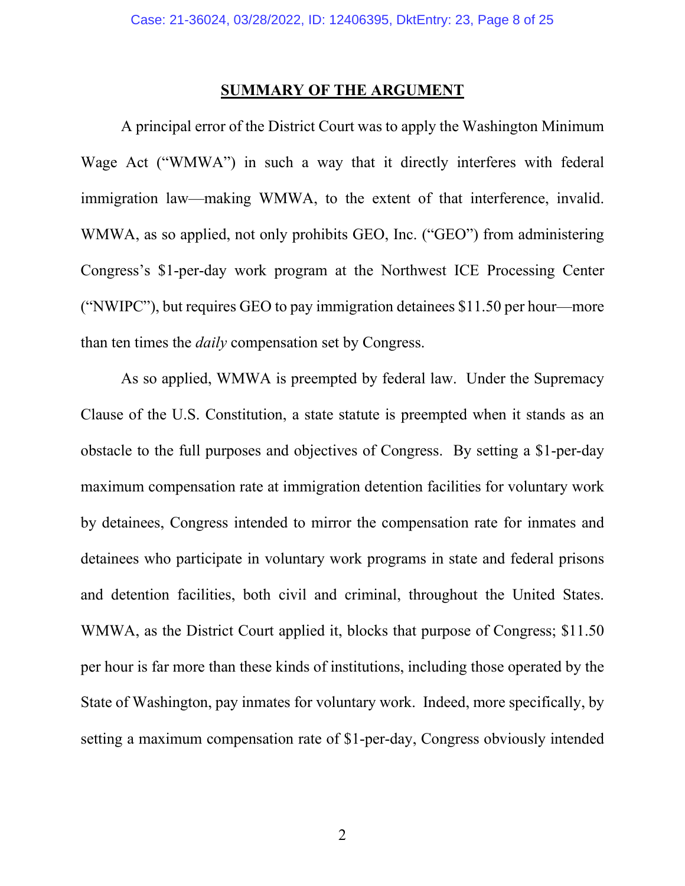### **SUMMARY OF THE ARGUMENT**

A principal error of the District Court was to apply the Washington Minimum Wage Act ("WMWA") in such a way that it directly interferes with federal immigration law—making WMWA, to the extent of that interference, invalid. WMWA, as so applied, not only prohibits GEO, Inc. ("GEO") from administering Congress's \$1-per-day work program at the Northwest ICE Processing Center ("NWIPC"), but requires GEO to pay immigration detainees \$11.50 per hour—more than ten times the *daily* compensation set by Congress.

As so applied, WMWA is preempted by federal law. Under the Supremacy Clause of the U.S. Constitution, a state statute is preempted when it stands as an obstacle to the full purposes and objectives of Congress. By setting a \$1-per-day maximum compensation rate at immigration detention facilities for voluntary work by detainees, Congress intended to mirror the compensation rate for inmates and detainees who participate in voluntary work programs in state and federal prisons and detention facilities, both civil and criminal, throughout the United States. WMWA, as the District Court applied it, blocks that purpose of Congress; \$11.50 per hour is far more than these kinds of institutions, including those operated by the State of Washington, pay inmates for voluntary work. Indeed, more specifically, by setting a maximum compensation rate of \$1-per-day, Congress obviously intended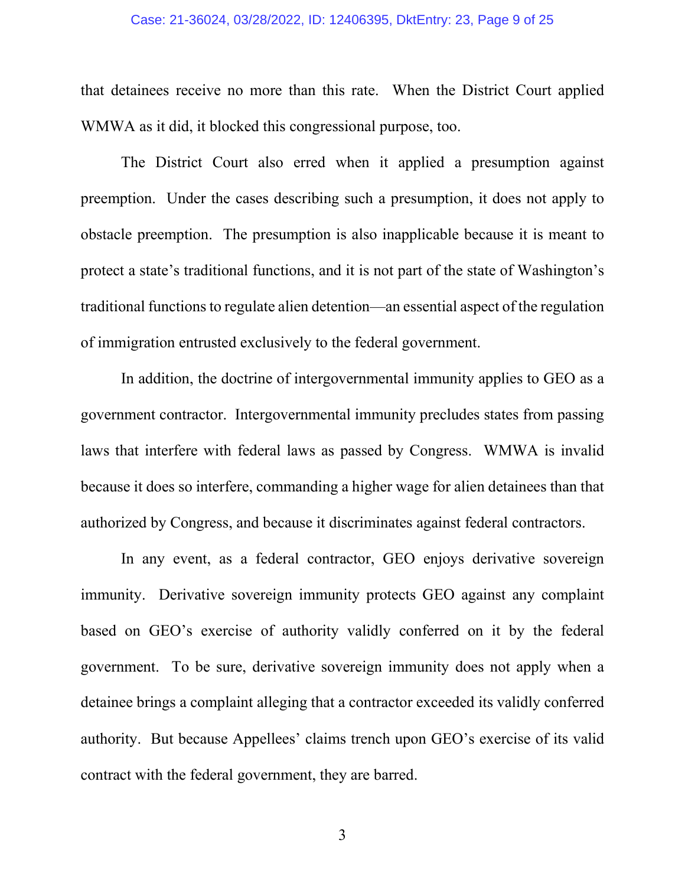#### Case: 21-36024, 03/28/2022, ID: 12406395, DktEntry: 23, Page 9 of 25

that detainees receive no more than this rate. When the District Court applied WMWA as it did, it blocked this congressional purpose, too.

The District Court also erred when it applied a presumption against preemption. Under the cases describing such a presumption, it does not apply to obstacle preemption. The presumption is also inapplicable because it is meant to protect a state's traditional functions, and it is not part of the state of Washington's traditional functionsto regulate alien detention—an essential aspect of the regulation of immigration entrusted exclusively to the federal government.

In addition, the doctrine of intergovernmental immunity applies to GEO as a government contractor. Intergovernmental immunity precludes states from passing laws that interfere with federal laws as passed by Congress. WMWA is invalid because it does so interfere, commanding a higher wage for alien detainees than that authorized by Congress, and because it discriminates against federal contractors.

In any event, as a federal contractor, GEO enjoys derivative sovereign immunity. Derivative sovereign immunity protects GEO against any complaint based on GEO's exercise of authority validly conferred on it by the federal government. To be sure, derivative sovereign immunity does not apply when a detainee brings a complaint alleging that a contractor exceeded its validly conferred authority. But because Appellees' claims trench upon GEO's exercise of its valid contract with the federal government, they are barred.

3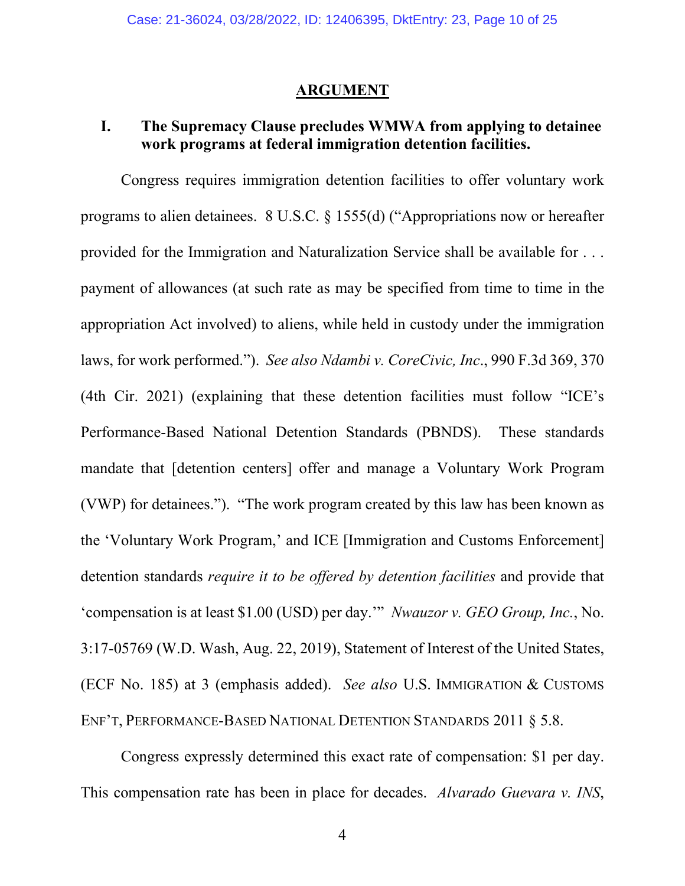#### **ARGUMENT**

# **I. The Supremacy Clause precludes WMWA from applying to detainee work programs at federal immigration detention facilities.**

Congress requires immigration detention facilities to offer voluntary work programs to alien detainees. 8 U.S.C. § 1555(d) ("Appropriations now or hereafter provided for the Immigration and Naturalization Service shall be available for . . . payment of allowances (at such rate as may be specified from time to time in the appropriation Act involved) to aliens, while held in custody under the immigration laws, for work performed."). *See also Ndambi v. CoreCivic, Inc*., 990 F.3d 369, 370 (4th Cir. 2021) (explaining that these detention facilities must follow "ICE's Performance-Based National Detention Standards (PBNDS). These standards mandate that [detention centers] offer and manage a Voluntary Work Program (VWP) for detainees."). "The work program created by this law has been known as the 'Voluntary Work Program,' and ICE [Immigration and Customs Enforcement] detention standards *require it to be offered by detention facilities* and provide that 'compensation is at least \$1.00 (USD) per day.'" *Nwauzor v. GEO Group, Inc.*, No. 3:17-05769 (W.D. Wash, Aug. 22, 2019), Statement of Interest of the United States, (ECF No. 185) at 3 (emphasis added). *See also* U.S. IMMIGRATION & CUSTOMS ENF'T, PERFORMANCE-BASED NATIONAL DETENTION STANDARDS 2011 § 5.8.

Congress expressly determined this exact rate of compensation: \$1 per day. This compensation rate has been in place for decades. *Alvarado Guevara v. INS*,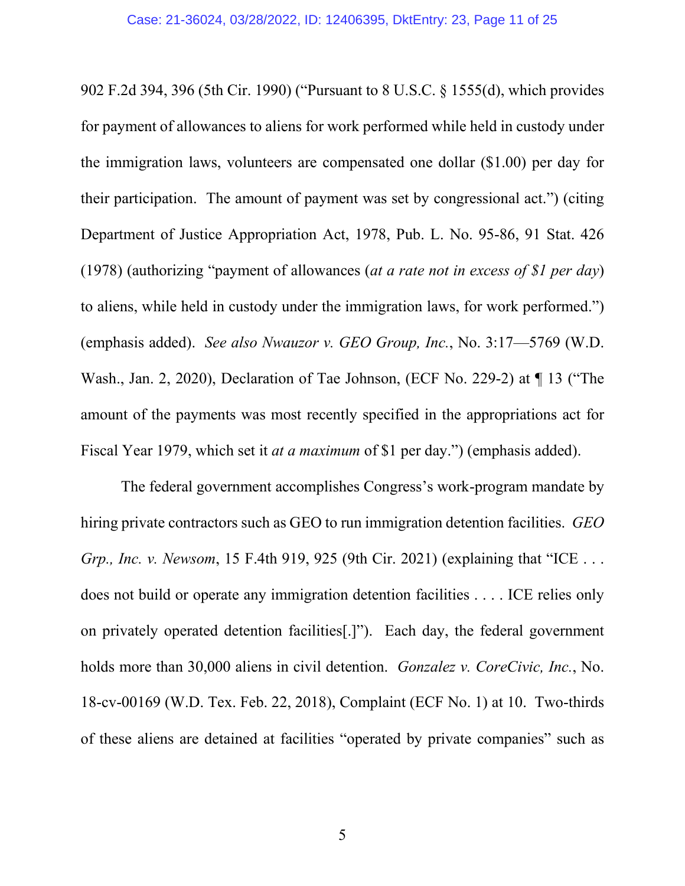902 F.2d 394, 396 (5th Cir. 1990) ("Pursuant to 8 U.S.C. § 1555(d), which provides for payment of allowances to aliens for work performed while held in custody under the immigration laws, volunteers are compensated one dollar (\$1.00) per day for their participation. The amount of payment was set by congressional act.") (citing Department of Justice Appropriation Act, 1978, Pub. L. No. 95-86, 91 Stat. 426 (1978) (authorizing "payment of allowances (*at a rate not in excess of \$1 per day*) to aliens, while held in custody under the immigration laws, for work performed.") (emphasis added). *See also Nwauzor v. GEO Group, Inc.*, No. 3:17—5769 (W.D. Wash., Jan. 2, 2020), Declaration of Tae Johnson, (ECF No. 229-2) at ¶ 13 ("The amount of the payments was most recently specified in the appropriations act for Fiscal Year 1979, which set it *at a maximum* of \$1 per day.") (emphasis added).

The federal government accomplishes Congress's work-program mandate by hiring private contractors such as GEO to run immigration detention facilities. *GEO Grp., Inc. v. Newsom*, 15 F.4th 919, 925 (9th Cir. 2021) (explaining that "ICE . . . does not build or operate any immigration detention facilities . . . . ICE relies only on privately operated detention facilities[.]"). Each day, the federal government holds more than 30,000 aliens in civil detention. *Gonzalez v. CoreCivic, Inc.*, No. 18-cv-00169 (W.D. Tex. Feb. 22, 2018), Complaint (ECF No. 1) at 10. Two-thirds of these aliens are detained at facilities "operated by private companies" such as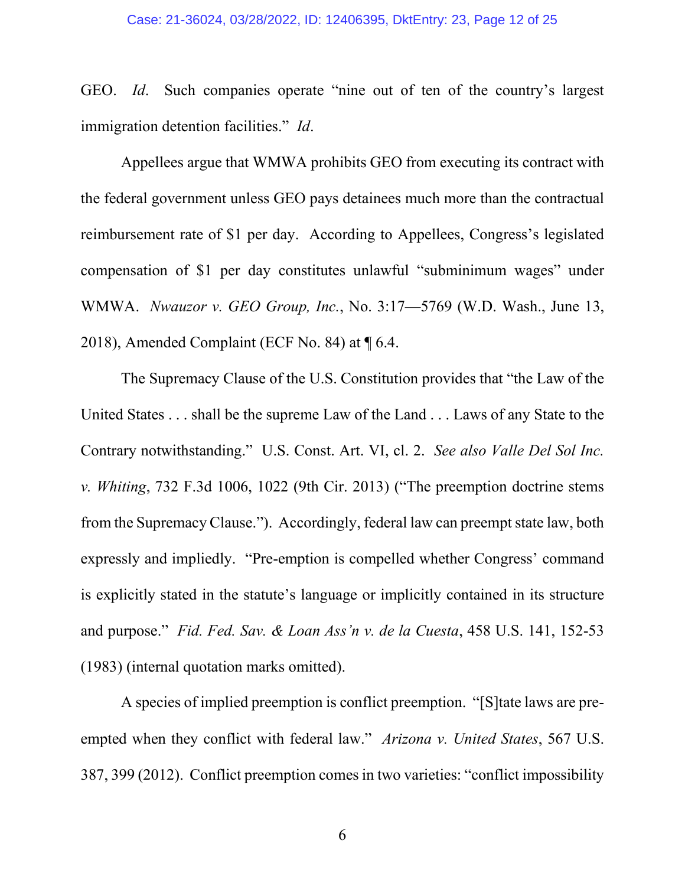GEO. *Id*. Such companies operate "nine out of ten of the country's largest immigration detention facilities." *Id*.

Appellees argue that WMWA prohibits GEO from executing its contract with the federal government unless GEO pays detainees much more than the contractual reimbursement rate of \$1 per day. According to Appellees, Congress's legislated compensation of \$1 per day constitutes unlawful "subminimum wages" under WMWA. *Nwauzor v. GEO Group, Inc.*, No. 3:17—5769 (W.D. Wash., June 13, 2018), Amended Complaint (ECF No. 84) at ¶ 6.4.

The Supremacy Clause of the U.S. Constitution provides that "the Law of the United States . . . shall be the supreme Law of the Land . . . Laws of any State to the Contrary notwithstanding." U.S. Const. Art. VI, cl. 2. *See also Valle Del Sol Inc. v. Whiting*, 732 F.3d 1006, 1022 (9th Cir. 2013) ("The preemption doctrine stems from the Supremacy Clause."). Accordingly, federal law can preempt state law, both expressly and impliedly. "Pre-emption is compelled whether Congress' command is explicitly stated in the statute's language or implicitly contained in its structure and purpose." *Fid. Fed. Sav. & Loan Ass'n v. de la Cuesta*, 458 U.S. 141, 152-53 (1983) (internal quotation marks omitted).

A species of implied preemption is conflict preemption. "[S]tate laws are preempted when they conflict with federal law." *Arizona v. United States*, 567 U.S. 387, 399 (2012). Conflict preemption comes in two varieties: "conflict impossibility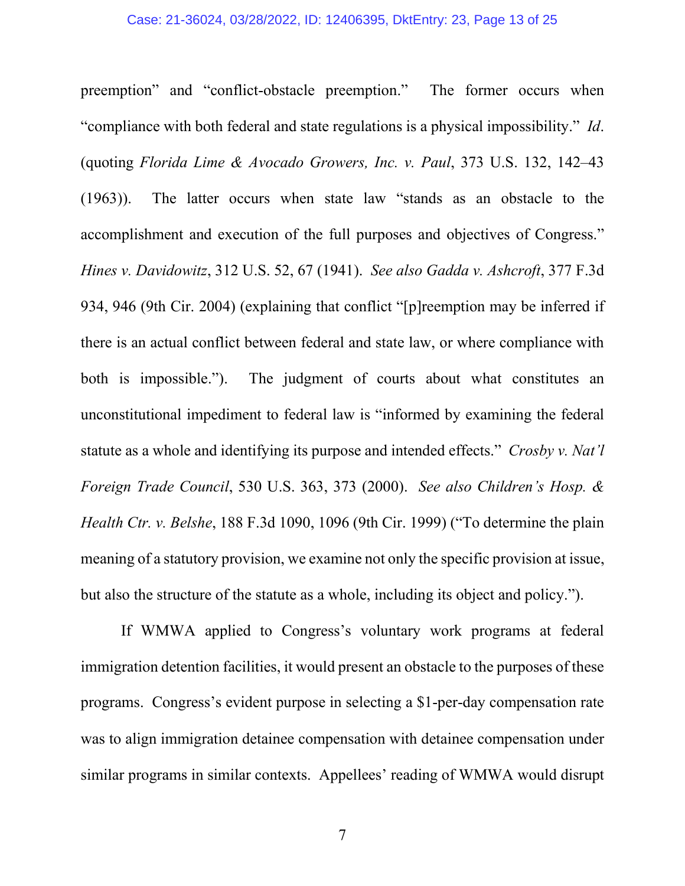#### Case: 21-36024, 03/28/2022, ID: 12406395, DktEntry: 23, Page 13 of 25

preemption" and "conflict-obstacle preemption." The former occurs when "compliance with both federal and state regulations is a physical impossibility." *Id*. (quoting *Florida Lime & Avocado Growers, Inc. v. Paul*, 373 U.S. 132, 142–43 (1963)). The latter occurs when state law "stands as an obstacle to the accomplishment and execution of the full purposes and objectives of Congress." *Hines v. Davidowitz*, 312 U.S. 52, 67 (1941). *See also Gadda v. Ashcroft*, 377 F.3d 934, 946 (9th Cir. 2004) (explaining that conflict "[p]reemption may be inferred if there is an actual conflict between federal and state law, or where compliance with both is impossible."). The judgment of courts about what constitutes an unconstitutional impediment to federal law is "informed by examining the federal statute as a whole and identifying its purpose and intended effects." *Crosby v. Nat'l Foreign Trade Council*, 530 U.S. 363, 373 (2000). *See also Children's Hosp. & Health Ctr. v. Belshe*, 188 F.3d 1090, 1096 (9th Cir. 1999) ("To determine the plain meaning of a statutory provision, we examine not only the specific provision at issue, but also the structure of the statute as a whole, including its object and policy.").

If WMWA applied to Congress's voluntary work programs at federal immigration detention facilities, it would present an obstacle to the purposes of these programs. Congress's evident purpose in selecting a \$1-per-day compensation rate was to align immigration detainee compensation with detainee compensation under similar programs in similar contexts. Appellees' reading of WMWA would disrupt

7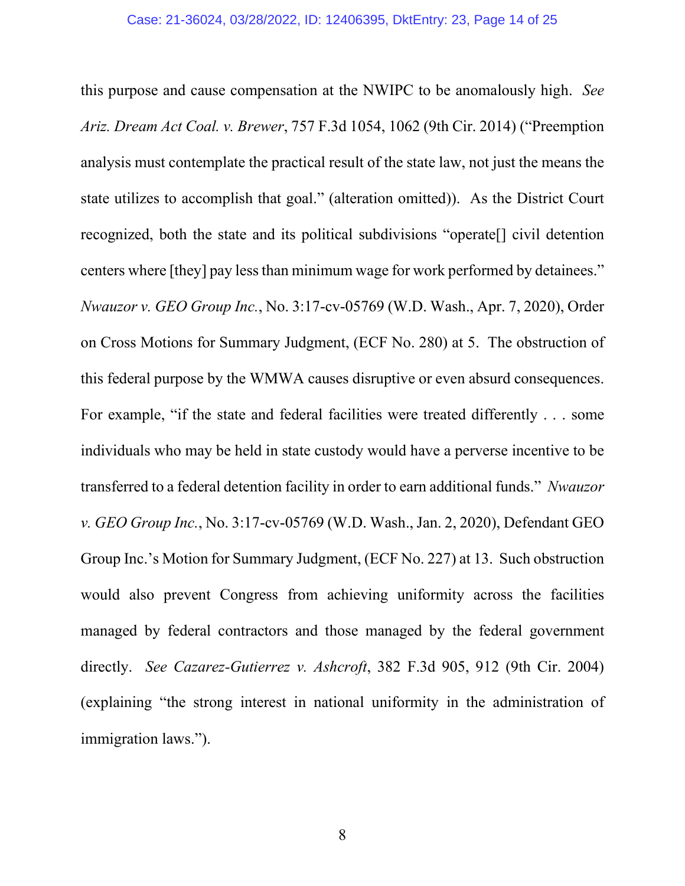this purpose and cause compensation at the NWIPC to be anomalously high. *See Ariz. Dream Act Coal. v. Brewer*, 757 F.3d 1054, 1062 (9th Cir. 2014) ("Preemption analysis must contemplate the practical result of the state law, not just the means the state utilizes to accomplish that goal." (alteration omitted)). As the District Court recognized, both the state and its political subdivisions "operate[] civil detention centers where [they] pay less than minimum wage for work performed by detainees." *Nwauzor v. GEO Group Inc.*, No. 3:17-cv-05769 (W.D. Wash., Apr. 7, 2020), Order on Cross Motions for Summary Judgment, (ECF No. 280) at 5. The obstruction of this federal purpose by the WMWA causes disruptive or even absurd consequences. For example, "if the state and federal facilities were treated differently . . . some individuals who may be held in state custody would have a perverse incentive to be transferred to a federal detention facility in order to earn additional funds." *Nwauzor v. GEO Group Inc.*, No. 3:17-cv-05769 (W.D. Wash., Jan. 2, 2020), Defendant GEO Group Inc.'s Motion for Summary Judgment, (ECF No. 227) at 13. Such obstruction would also prevent Congress from achieving uniformity across the facilities managed by federal contractors and those managed by the federal government directly. *See Cazarez-Gutierrez v. Ashcroft*, 382 F.3d 905, 912 (9th Cir. 2004) (explaining "the strong interest in national uniformity in the administration of immigration laws.").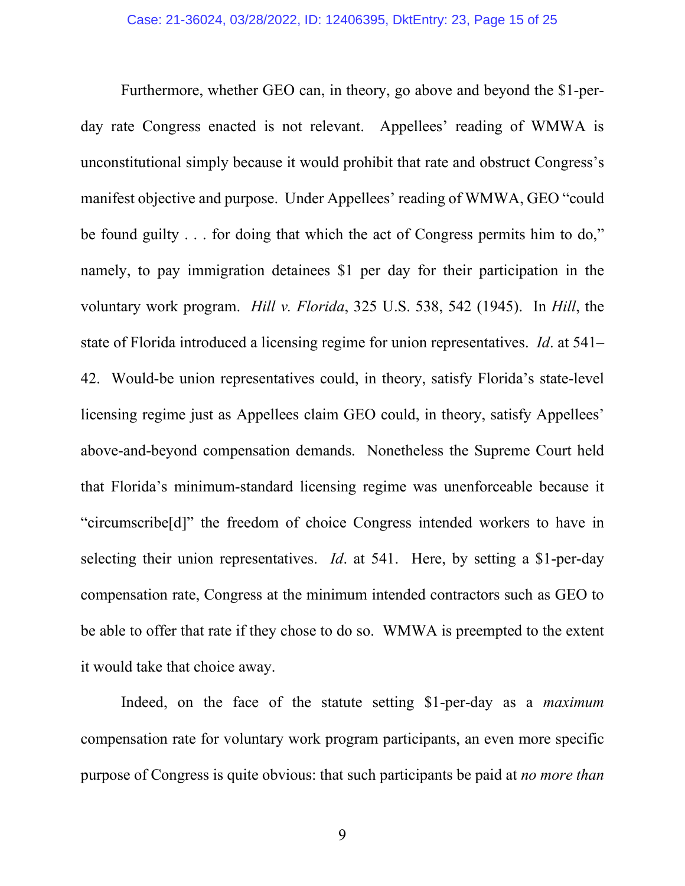Furthermore, whether GEO can, in theory, go above and beyond the \$1-perday rate Congress enacted is not relevant. Appellees' reading of WMWA is unconstitutional simply because it would prohibit that rate and obstruct Congress's manifest objective and purpose. Under Appellees' reading of WMWA, GEO "could be found guilty . . . for doing that which the act of Congress permits him to do," namely, to pay immigration detainees \$1 per day for their participation in the voluntary work program. *Hill v. Florida*, 325 U.S. 538, 542 (1945). In *Hill*, the state of Florida introduced a licensing regime for union representatives. *Id*. at 541– 42. Would-be union representatives could, in theory, satisfy Florida's state-level licensing regime just as Appellees claim GEO could, in theory, satisfy Appellees' above-and-beyond compensation demands. Nonetheless the Supreme Court held that Florida's minimum-standard licensing regime was unenforceable because it "circumscribe[d]" the freedom of choice Congress intended workers to have in selecting their union representatives. *Id*. at 541. Here, by setting a \$1-per-day compensation rate, Congress at the minimum intended contractors such as GEO to be able to offer that rate if they chose to do so. WMWA is preempted to the extent it would take that choice away.

Indeed, on the face of the statute setting \$1-per-day as a *maximum* compensation rate for voluntary work program participants, an even more specific purpose of Congress is quite obvious: that such participants be paid at *no more than*

9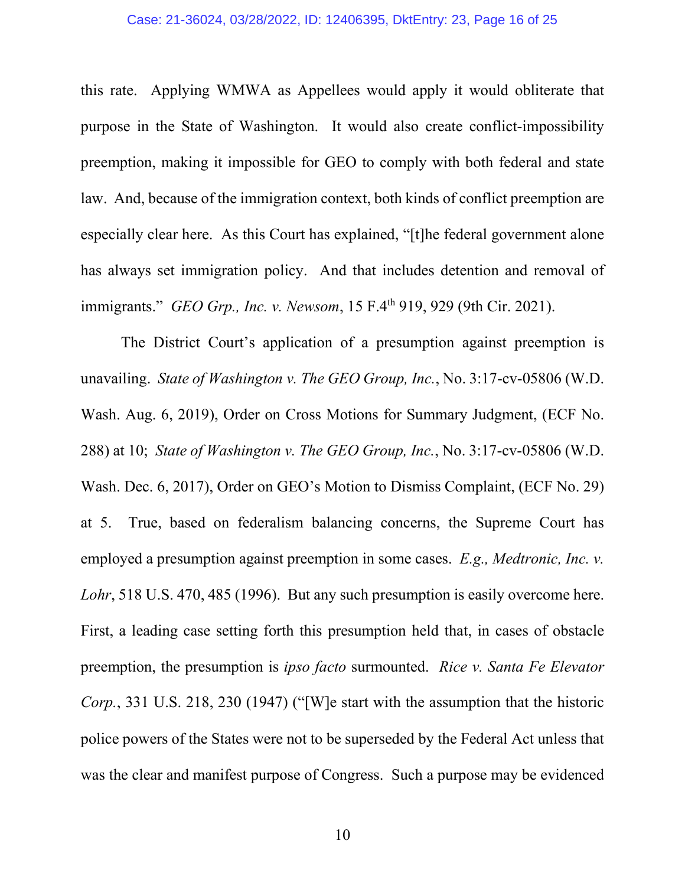this rate. Applying WMWA as Appellees would apply it would obliterate that purpose in the State of Washington. It would also create conflict-impossibility preemption, making it impossible for GEO to comply with both federal and state law. And, because of the immigration context, both kinds of conflict preemption are especially clear here. As this Court has explained, "[t]he federal government alone has always set immigration policy. And that includes detention and removal of immigrants." *GEO Grp., Inc. v. Newsom*, 15 F.4th 919, 929 (9th Cir. 2021).

The District Court's application of a presumption against preemption is unavailing. *State of Washington v. The GEO Group, Inc.*, No. 3:17-cv-05806 (W.D. Wash. Aug. 6, 2019), Order on Cross Motions for Summary Judgment, (ECF No. 288) at 10; *State of Washington v. The GEO Group, Inc.*, No. 3:17-cv-05806 (W.D. Wash. Dec. 6, 2017), Order on GEO's Motion to Dismiss Complaint, (ECF No. 29) at 5. True, based on federalism balancing concerns, the Supreme Court has employed a presumption against preemption in some cases. *E.g., Medtronic, Inc. v. Lohr*, 518 U.S. 470, 485 (1996). But any such presumption is easily overcome here. First, a leading case setting forth this presumption held that, in cases of obstacle preemption, the presumption is *ipso facto* surmounted. *Rice v. Santa Fe Elevator Corp.*, 331 U.S. 218, 230 (1947) ("[W]e start with the assumption that the historic police powers of the States were not to be superseded by the Federal Act unless that was the clear and manifest purpose of Congress. Such a purpose may be evidenced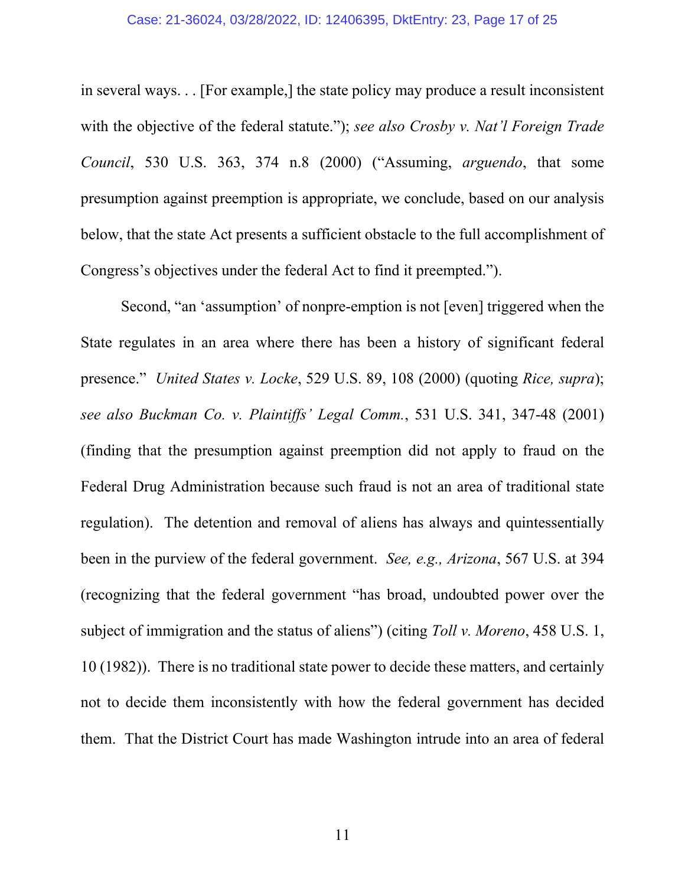#### Case: 21-36024, 03/28/2022, ID: 12406395, DktEntry: 23, Page 17 of 25

in several ways. . . [For example,] the state policy may produce a result inconsistent with the objective of the federal statute."); *see also Crosby v. Nat'l Foreign Trade Council*, 530 U.S. 363, 374 n.8 (2000) ("Assuming, *arguendo*, that some presumption against preemption is appropriate, we conclude, based on our analysis below, that the state Act presents a sufficient obstacle to the full accomplishment of Congress's objectives under the federal Act to find it preempted.").

Second, "an 'assumption' of nonpre-emption is not [even] triggered when the State regulates in an area where there has been a history of significant federal presence." *United States v. Locke*, 529 U.S. 89, 108 (2000) (quoting *Rice, supra*); *see also Buckman Co. v. Plaintiffs' Legal Comm.*, 531 U.S. 341, 347-48 (2001) (finding that the presumption against preemption did not apply to fraud on the Federal Drug Administration because such fraud is not an area of traditional state regulation). The detention and removal of aliens has always and quintessentially been in the purview of the federal government. *See, e.g., Arizona*, 567 U.S. at 394 (recognizing that the federal government "has broad, undoubted power over the subject of immigration and the status of aliens") (citing *Toll v. Moreno*, 458 U.S. 1, 10 (1982)). There is no traditional state power to decide these matters, and certainly not to decide them inconsistently with how the federal government has decided them. That the District Court has made Washington intrude into an area of federal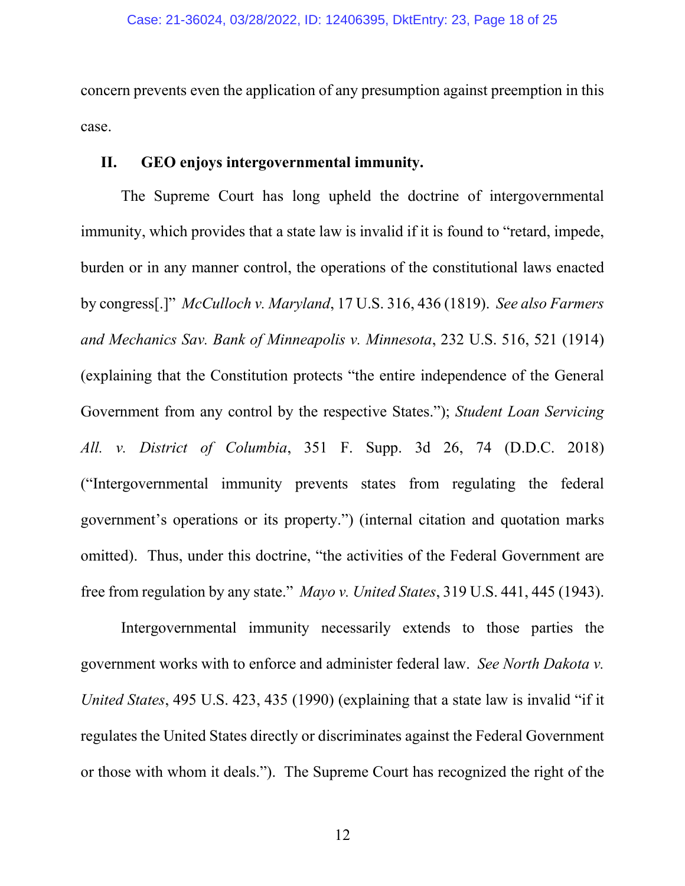concern prevents even the application of any presumption against preemption in this case.

# **II. GEO enjoys intergovernmental immunity.**

The Supreme Court has long upheld the doctrine of intergovernmental immunity, which provides that a state law is invalid if it is found to "retard, impede, burden or in any manner control, the operations of the constitutional laws enacted by congress[.]" *McCulloch v. Maryland*, 17 U.S. 316, 436 (1819). *See also Farmers and Mechanics Sav. Bank of Minneapolis v. Minnesota*, 232 U.S. 516, 521 (1914) (explaining that the Constitution protects "the entire independence of the General Government from any control by the respective States."); *Student Loan Servicing All. v. District of Columbia*, 351 F. Supp. 3d 26, 74 (D.D.C. 2018) ("Intergovernmental immunity prevents states from regulating the federal government's operations or its property.") (internal citation and quotation marks omitted). Thus, under this doctrine, "the activities of the Federal Government are free from regulation by any state." *Mayo v. United States*, 319 U.S. 441, 445 (1943).

Intergovernmental immunity necessarily extends to those parties the government works with to enforce and administer federal law. *See North Dakota v. United States*, 495 U.S. 423, 435 (1990) (explaining that a state law is invalid "if it regulates the United States directly or discriminates against the Federal Government or those with whom it deals."). The Supreme Court has recognized the right of the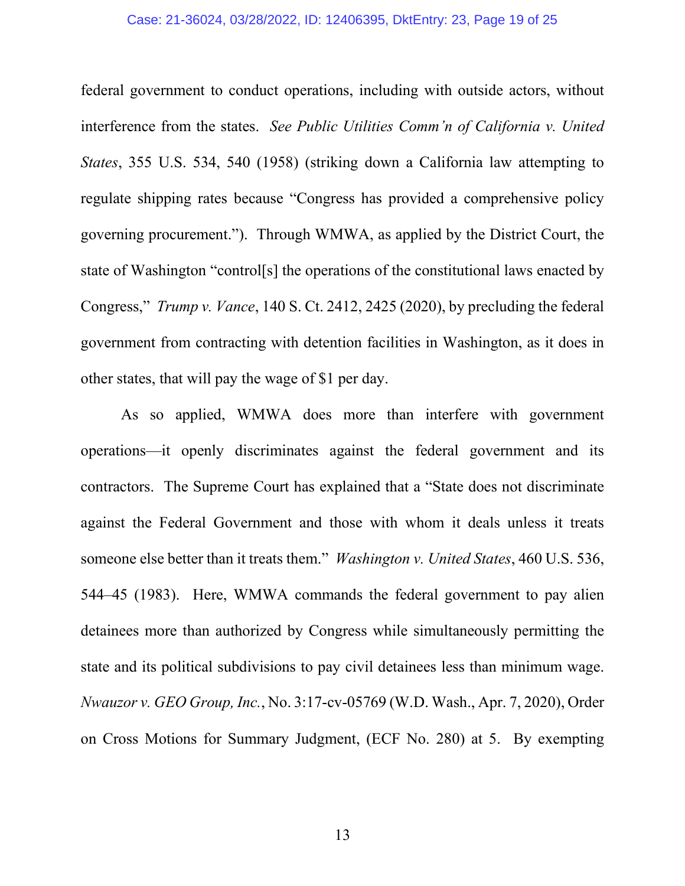#### Case: 21-36024, 03/28/2022, ID: 12406395, DktEntry: 23, Page 19 of 25

federal government to conduct operations, including with outside actors, without interference from the states. *See Public Utilities Comm'n of California v. United States*, 355 U.S. 534, 540 (1958) (striking down a California law attempting to regulate shipping rates because "Congress has provided a comprehensive policy governing procurement."). Through WMWA, as applied by the District Court, the state of Washington "control[s] the operations of the constitutional laws enacted by Congress," *Trump v. Vance*, 140 S. Ct. 2412, 2425 (2020), by precluding the federal government from contracting with detention facilities in Washington, as it does in other states, that will pay the wage of \$1 per day.

As so applied, WMWA does more than interfere with government operations—it openly discriminates against the federal government and its contractors. The Supreme Court has explained that a "State does not discriminate against the Federal Government and those with whom it deals unless it treats someone else better than it treats them." *Washington v. United States*, 460 U.S. 536, 544–45 (1983). Here, WMWA commands the federal government to pay alien detainees more than authorized by Congress while simultaneously permitting the state and its political subdivisions to pay civil detainees less than minimum wage. *Nwauzor v. GEO Group, Inc.*, No. 3:17-cv-05769 (W.D. Wash., Apr. 7, 2020), Order on Cross Motions for Summary Judgment, (ECF No. 280) at 5. By exempting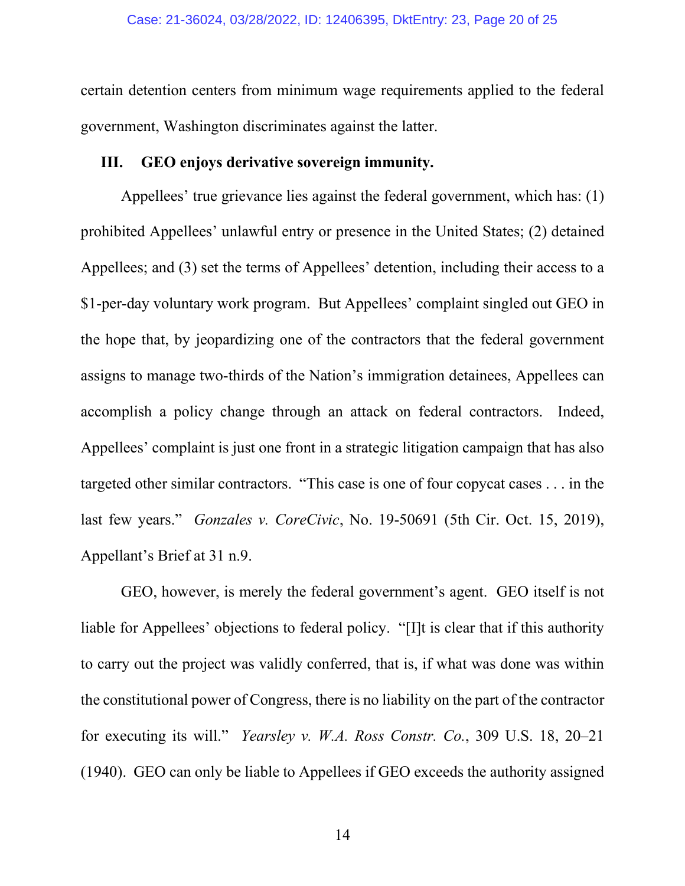certain detention centers from minimum wage requirements applied to the federal government, Washington discriminates against the latter.

# **III. GEO enjoys derivative sovereign immunity.**

Appellees' true grievance lies against the federal government, which has: (1) prohibited Appellees' unlawful entry or presence in the United States; (2) detained Appellees; and (3) set the terms of Appellees' detention, including their access to a \$1-per-day voluntary work program. But Appellees' complaint singled out GEO in the hope that, by jeopardizing one of the contractors that the federal government assigns to manage two-thirds of the Nation's immigration detainees, Appellees can accomplish a policy change through an attack on federal contractors. Indeed, Appellees' complaint is just one front in a strategic litigation campaign that has also targeted other similar contractors. "This case is one of four copycat cases . . . in the last few years." *Gonzales v. CoreCivic*, No. 19-50691 (5th Cir. Oct. 15, 2019), Appellant's Brief at 31 n.9.

GEO, however, is merely the federal government's agent. GEO itself is not liable for Appellees' objections to federal policy. "[I]t is clear that if this authority to carry out the project was validly conferred, that is, if what was done was within the constitutional power of Congress, there is no liability on the part of the contractor for executing its will." *Yearsley v. W.A. Ross Constr. Co.*, 309 U.S. 18, 20–21 (1940). GEO can only be liable to Appellees if GEO exceeds the authority assigned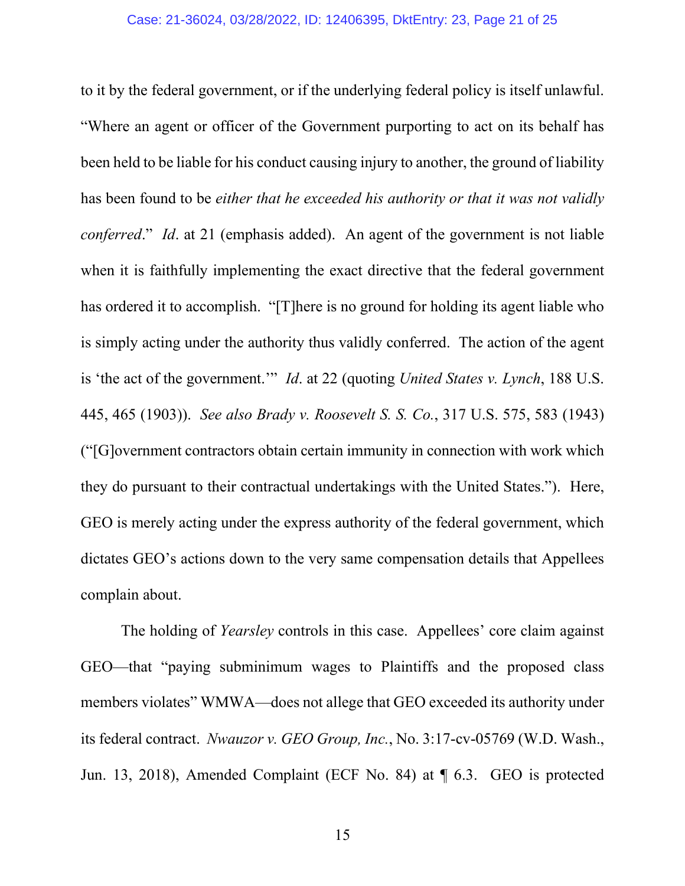to it by the federal government, or if the underlying federal policy is itself unlawful. "Where an agent or officer of the Government purporting to act on its behalf has been held to be liable for his conduct causing injury to another, the ground of liability has been found to be *either that he exceeded his authority or that it was not validly conferred*." *Id*. at 21 (emphasis added). An agent of the government is not liable when it is faithfully implementing the exact directive that the federal government has ordered it to accomplish. "[T]here is no ground for holding its agent liable who is simply acting under the authority thus validly conferred. The action of the agent is 'the act of the government.'" *Id*. at 22 (quoting *United States v. Lynch*, 188 U.S. 445, 465 (1903)). *See also Brady v. Roosevelt S. S. Co.*, 317 U.S. 575, 583 (1943) ("[G]overnment contractors obtain certain immunity in connection with work which they do pursuant to their contractual undertakings with the United States."). Here, GEO is merely acting under the express authority of the federal government, which dictates GEO's actions down to the very same compensation details that Appellees complain about.

The holding of *Yearsley* controls in this case. Appellees' core claim against GEO—that "paying subminimum wages to Plaintiffs and the proposed class members violates" WMWA—does not allege that GEO exceeded its authority under its federal contract. *Nwauzor v. GEO Group, Inc.*, No. 3:17-cv-05769 (W.D. Wash., Jun. 13, 2018), Amended Complaint (ECF No. 84) at ¶ 6.3. GEO is protected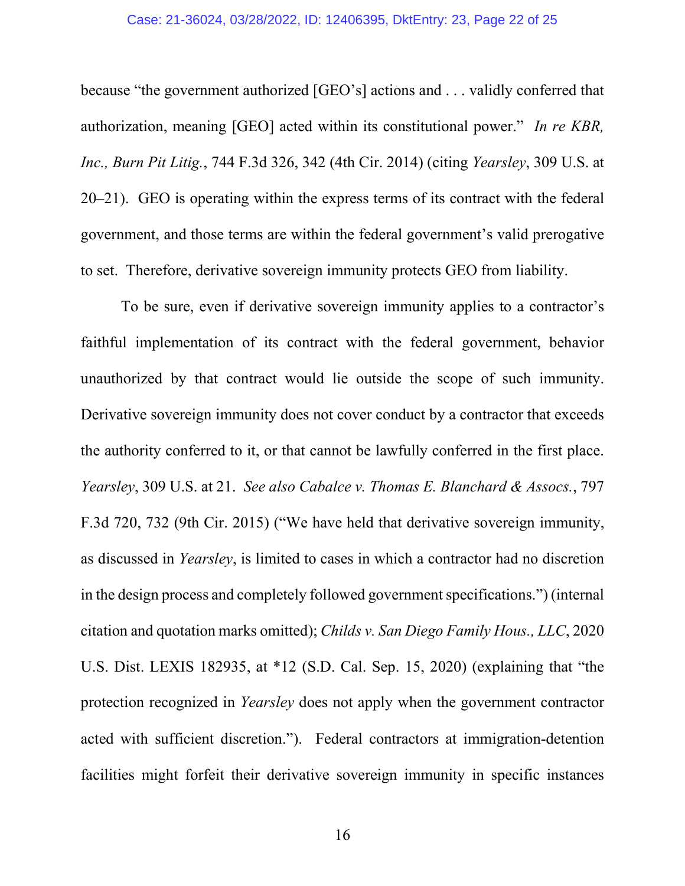#### Case: 21-36024, 03/28/2022, ID: 12406395, DktEntry: 23, Page 22 of 25

because "the government authorized [GEO's] actions and . . . validly conferred that authorization, meaning [GEO] acted within its constitutional power." *In re KBR, Inc., Burn Pit Litig.*, 744 F.3d 326, 342 (4th Cir. 2014) (citing *Yearsley*, 309 U.S. at 20–21). GEO is operating within the express terms of its contract with the federal government, and those terms are within the federal government's valid prerogative to set. Therefore, derivative sovereign immunity protects GEO from liability.

To be sure, even if derivative sovereign immunity applies to a contractor's faithful implementation of its contract with the federal government, behavior unauthorized by that contract would lie outside the scope of such immunity. Derivative sovereign immunity does not cover conduct by a contractor that exceeds the authority conferred to it, or that cannot be lawfully conferred in the first place. *Yearsley*, 309 U.S. at 21. *See also Cabalce v. Thomas E. Blanchard & Assocs.*, 797 F.3d 720, 732 (9th Cir. 2015) ("We have held that derivative sovereign immunity, as discussed in *Yearsley*, is limited to cases in which a contractor had no discretion in the design process and completely followed government specifications.") (internal citation and quotation marks omitted); *Childs v. San Diego Family Hous., LLC*, 2020 U.S. Dist. LEXIS 182935, at \*12 (S.D. Cal. Sep. 15, 2020) (explaining that "the protection recognized in *Yearsley* does not apply when the government contractor acted with sufficient discretion."). Federal contractors at immigration-detention facilities might forfeit their derivative sovereign immunity in specific instances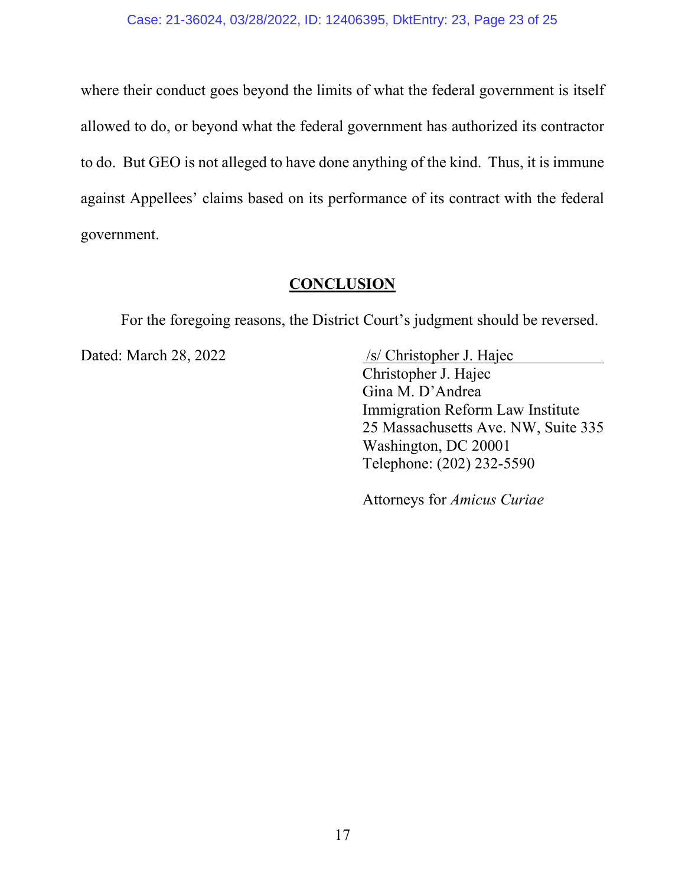where their conduct goes beyond the limits of what the federal government is itself allowed to do, or beyond what the federal government has authorized its contractor to do. But GEO is not alleged to have done anything of the kind. Thus, it is immune against Appellees' claims based on its performance of its contract with the federal government.

# **CONCLUSION**

For the foregoing reasons, the District Court's judgment should be reversed.

Dated: March 28, 2022 /s/ Christopher J. Hajec Christopher J. Hajec Gina M. D'Andrea Immigration Reform Law Institute 25 Massachusetts Ave. NW, Suite 335 Washington, DC 20001 Telephone: (202) 232-5590

Attorneys for *Amicus Curiae*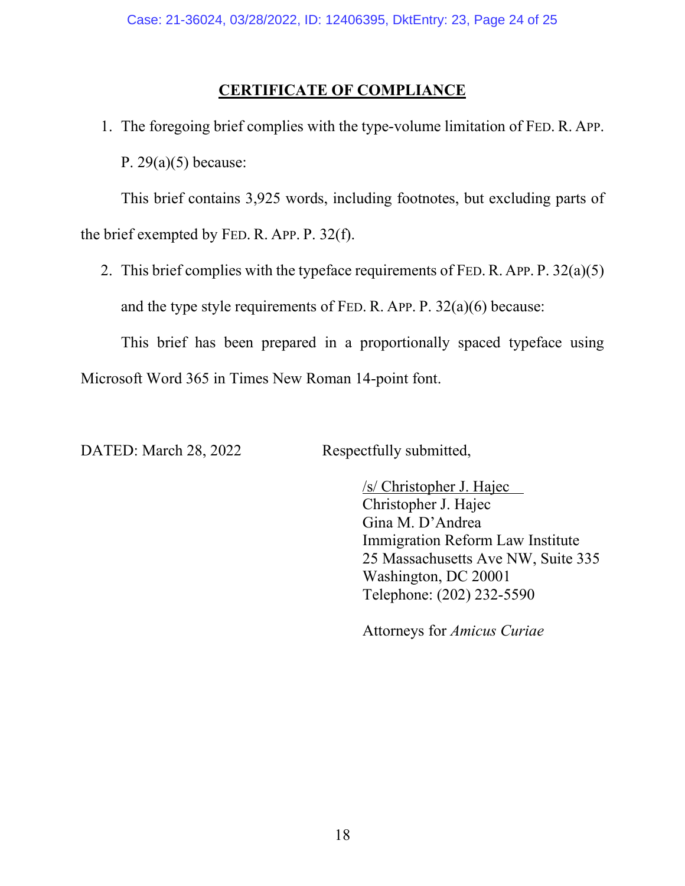# **CERTIFICATE OF COMPLIANCE**

1. The foregoing brief complies with the type-volume limitation of FED. R. APP. P.  $29(a)(5)$  because:

This brief contains 3,925 words, including footnotes, but excluding parts of the brief exempted by FED. R. APP. P. 32(f).

2. This brief complies with the typeface requirements of FED. R. APP. P. 32(a)(5) and the type style requirements of FED. R. APP. P. 32(a)(6) because:

This brief has been prepared in a proportionally spaced typeface using Microsoft Word 365 in Times New Roman 14-point font.

DATED: March 28, 2022 Respectfully submitted,

/s/ Christopher J. Hajec Christopher J. Hajec Gina M. D'Andrea Immigration Reform Law Institute 25 Massachusetts Ave NW, Suite 335 Washington, DC 20001 Telephone: (202) 232-5590

Attorneys for *Amicus Curiae*